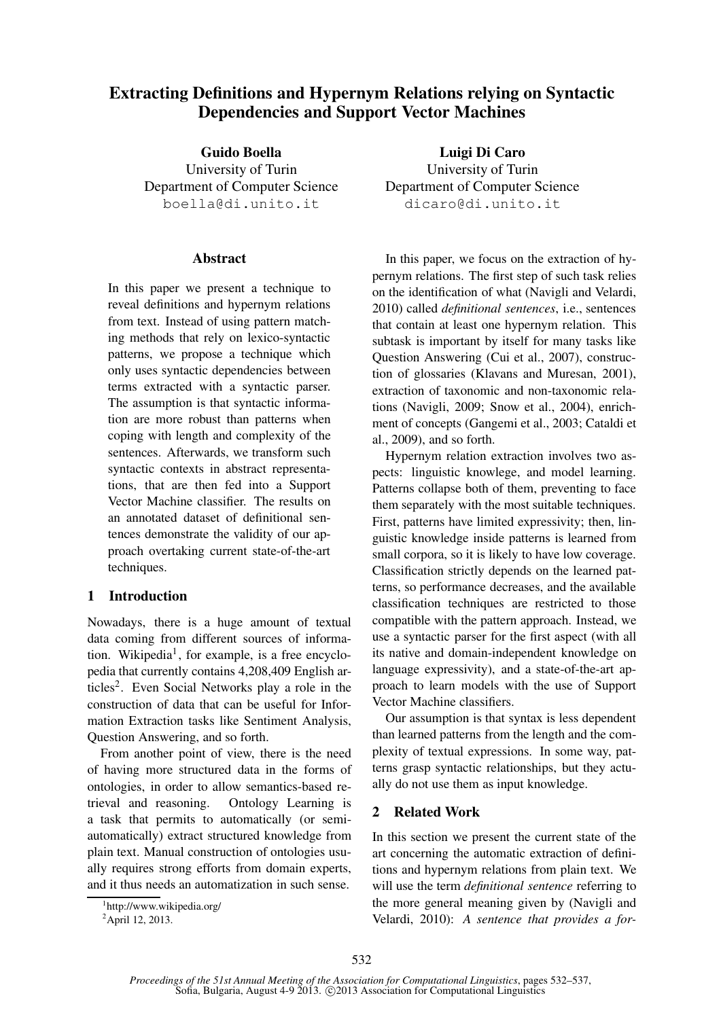# **Extracting Definitions and Hypernym Relations relying on Syntactic Dependencies and Support Vector Machines**

**Guido Boella** University of Turin Department of Computer Science boella@di.unito.it

### **Abstract**

In this paper we present a technique to reveal definitions and hypernym relations from text. Instead of using pattern matching methods that rely on lexico-syntactic patterns, we propose a technique which only uses syntactic dependencies between terms extracted with a syntactic parser. The assumption is that syntactic information are more robust than patterns when coping with length and complexity of the sentences. Afterwards, we transform such syntactic contexts in abstract representations, that are then fed into a Support Vector Machine classifier. The results on an annotated dataset of definitional sentences demonstrate the validity of our approach overtaking current state-of-the-art techniques.

### **1 Introduction**

Nowadays, there is a huge amount of textual data coming from different sources of information. Wikipedia<sup>1</sup>, for example, is a free encyclopedia that currently contains 4,208,409 English articles<sup>2</sup>. Even Social Networks play a role in the construction of data that can be useful for Information Extraction tasks like Sentiment Analysis, Question Answering, and so forth.

From another point of view, there is the need of having more structured data in the forms of ontologies, in order to allow semantics-based retrieval and reasoning. Ontology Learning is a task that permits to automatically (or semiautomatically) extract structured knowledge from plain text. Manual construction of ontologies usually requires strong efforts from domain experts, and it thus needs an automatization in such sense.

**Luigi Di Caro** University of Turin Department of Computer Science dicaro@di.unito.it

In this paper, we focus on the extraction of hypernym relations. The first step of such task relies on the identification of what (Navigli and Velardi, 2010) called *definitional sentences*, i.e., sentences that contain at least one hypernym relation. This subtask is important by itself for many tasks like Question Answering (Cui et al., 2007), construction of glossaries (Klavans and Muresan, 2001), extraction of taxonomic and non-taxonomic relations (Navigli, 2009; Snow et al., 2004), enrichment of concepts (Gangemi et al., 2003; Cataldi et al., 2009), and so forth.

Hypernym relation extraction involves two aspects: linguistic knowlege, and model learning. Patterns collapse both of them, preventing to face them separately with the most suitable techniques. First, patterns have limited expressivity; then, linguistic knowledge inside patterns is learned from small corpora, so it is likely to have low coverage. Classification strictly depends on the learned patterns, so performance decreases, and the available classification techniques are restricted to those compatible with the pattern approach. Instead, we use a syntactic parser for the first aspect (with all its native and domain-independent knowledge on language expressivity), and a state-of-the-art approach to learn models with the use of Support Vector Machine classifiers.

Our assumption is that syntax is less dependent than learned patterns from the length and the complexity of textual expressions. In some way, patterns grasp syntactic relationships, but they actually do not use them as input knowledge.

## **2 Related Work**

In this section we present the current state of the art concerning the automatic extraction of definitions and hypernym relations from plain text. We will use the term *definitional sentence* referring to the more general meaning given by (Navigli and Velardi, 2010): *A sentence that provides a for-*

<sup>1</sup> http://www.wikipedia.org/

<sup>&</sup>lt;sup>2</sup>April 12, 2013.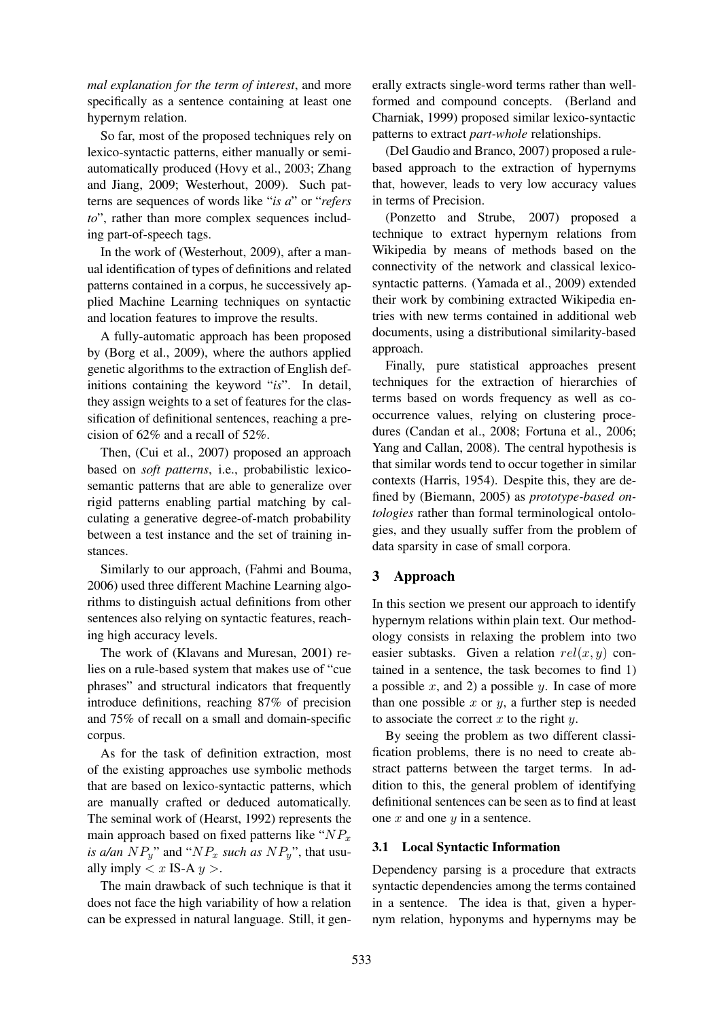*mal explanation for the term of interest*, and more specifically as a sentence containing at least one hypernym relation.

So far, most of the proposed techniques rely on lexico-syntactic patterns, either manually or semiautomatically produced (Hovy et al., 2003; Zhang and Jiang, 2009; Westerhout, 2009). Such patterns are sequences of words like "*is a*" or "*refers to*", rather than more complex sequences including part-of-speech tags.

In the work of (Westerhout, 2009), after a manual identification of types of definitions and related patterns contained in a corpus, he successively applied Machine Learning techniques on syntactic and location features to improve the results.

A fully-automatic approach has been proposed by (Borg et al., 2009), where the authors applied genetic algorithms to the extraction of English definitions containing the keyword "*is*". In detail, they assign weights to a set of features for the classification of definitional sentences, reaching a precision of 62% and a recall of 52%.

Then, (Cui et al., 2007) proposed an approach based on *soft patterns*, i.e., probabilistic lexicosemantic patterns that are able to generalize over rigid patterns enabling partial matching by calculating a generative degree-of-match probability between a test instance and the set of training instances.

Similarly to our approach, (Fahmi and Bouma, 2006) used three different Machine Learning algorithms to distinguish actual definitions from other sentences also relying on syntactic features, reaching high accuracy levels.

The work of (Klavans and Muresan, 2001) relies on a rule-based system that makes use of "cue phrases" and structural indicators that frequently introduce definitions, reaching 87% of precision and 75% of recall on a small and domain-specific corpus.

As for the task of definition extraction, most of the existing approaches use symbolic methods that are based on lexico-syntactic patterns, which are manually crafted or deduced automatically. The seminal work of (Hearst, 1992) represents the main approach based on fixed patterns like " $NP_x$ *is a/an*  $NP_y$ " and " $NP_x$  *such as*  $NP_y$ ", that usually imply  $\langle x \text{ IS-A } y \rangle$ .

The main drawback of such technique is that it does not face the high variability of how a relation can be expressed in natural language. Still, it generally extracts single-word terms rather than wellformed and compound concepts. (Berland and Charniak, 1999) proposed similar lexico-syntactic patterns to extract *part-whole* relationships.

(Del Gaudio and Branco, 2007) proposed a rulebased approach to the extraction of hypernyms that, however, leads to very low accuracy values in terms of Precision.

(Ponzetto and Strube, 2007) proposed a technique to extract hypernym relations from Wikipedia by means of methods based on the connectivity of the network and classical lexicosyntactic patterns. (Yamada et al., 2009) extended their work by combining extracted Wikipedia entries with new terms contained in additional web documents, using a distributional similarity-based approach.

Finally, pure statistical approaches present techniques for the extraction of hierarchies of terms based on words frequency as well as cooccurrence values, relying on clustering procedures (Candan et al., 2008; Fortuna et al., 2006; Yang and Callan, 2008). The central hypothesis is that similar words tend to occur together in similar contexts (Harris, 1954). Despite this, they are defined by (Biemann, 2005) as *prototype-based ontologies* rather than formal terminological ontologies, and they usually suffer from the problem of data sparsity in case of small corpora.

### **3 Approach**

In this section we present our approach to identify hypernym relations within plain text. Our methodology consists in relaxing the problem into two easier subtasks. Given a relation  $rel(x, y)$  contained in a sentence, the task becomes to find 1) a possible  $x$ , and 2) a possible  $y$ . In case of more than one possible  $x$  or  $y$ , a further step is needed to associate the correct  $x$  to the right  $y$ .

By seeing the problem as two different classification problems, there is no need to create abstract patterns between the target terms. In addition to this, the general problem of identifying definitional sentences can be seen as to find at least one  $x$  and one  $y$  in a sentence.

#### **3.1 Local Syntactic Information**

Dependency parsing is a procedure that extracts syntactic dependencies among the terms contained in a sentence. The idea is that, given a hypernym relation, hyponyms and hypernyms may be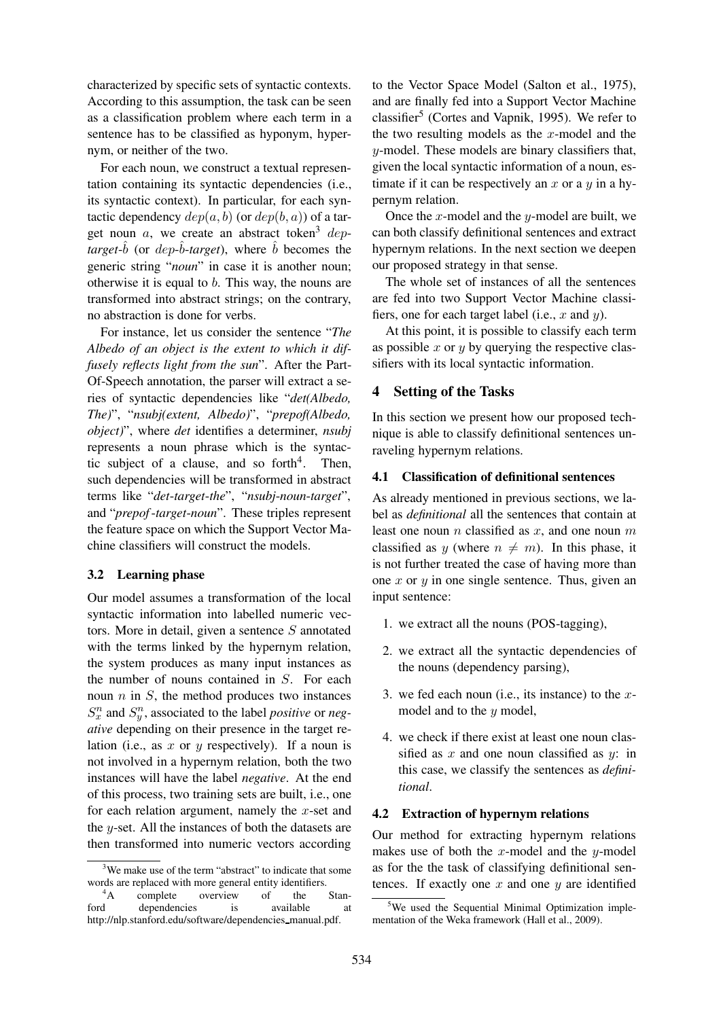characterized by specific sets of syntactic contexts. According to this assumption, the task can be seen as a classification problem where each term in a sentence has to be classified as hyponym, hypernym, or neither of the two.

For each noun, we construct a textual representation containing its syntactic dependencies (i.e., its syntactic context). In particular, for each syntactic dependency  $dep(a, b)$  (or  $dep(b, a)$ ) of a target noun a, we create an abstract token<sup>3</sup> dep $target-\hat{b}$  (or  $dep-\hat{b}$ -target), where  $\hat{b}$  becomes the generic string "*noun*" in case it is another noun; otherwise it is equal to b. This way, the nouns are transformed into abstract strings; on the contrary, no abstraction is done for verbs.

For instance, let us consider the sentence "*The Albedo of an object is the extent to which it diffusely reflects light from the sun*". After the Part-Of-Speech annotation, the parser will extract a series of syntactic dependencies like "*det(Albedo, The)*", "*nsubj(extent, Albedo)*", "*prepof(Albedo, object)*", where *det* identifies a determiner, *nsubj* represents a noun phrase which is the syntactic subject of a clause, and so forth<sup>4</sup>. . Then, such dependencies will be transformed in abstract terms like "*det*-*target*-*the*", "*nsubj*-*noun*-*target*", and "*prepof*-*target*-*noun*". These triples represent the feature space on which the Support Vector Machine classifiers will construct the models.

### **3.2 Learning phase**

Our model assumes a transformation of the local syntactic information into labelled numeric vectors. More in detail, given a sentence S annotated with the terms linked by the hypernym relation, the system produces as many input instances as the number of nouns contained in S. For each noun  $n$  in  $S$ , the method produces two instances  $S_x^n$  and  $S_y^n$ , associated to the label *positive* or *negative* depending on their presence in the target relation (i.e., as x or y respectively). If a noun is not involved in a hypernym relation, both the two instances will have the label *negative*. At the end of this process, two training sets are built, i.e., one for each relation argument, namely the  $x$ -set and the y-set. All the instances of both the datasets are then transformed into numeric vectors according to the Vector Space Model (Salton et al., 1975), and are finally fed into a Support Vector Machine classifier<sup>5</sup> (Cortes and Vapnik, 1995). We refer to the two resulting models as the  $x$ -model and the y-model. These models are binary classifiers that, given the local syntactic information of a noun, estimate if it can be respectively an  $x$  or a  $y$  in a hypernym relation.

Once the x-model and the y-model are built, we can both classify definitional sentences and extract hypernym relations. In the next section we deepen our proposed strategy in that sense.

The whole set of instances of all the sentences are fed into two Support Vector Machine classifiers, one for each target label (i.e.,  $x$  and  $y$ ).

At this point, it is possible to classify each term as possible  $x$  or  $y$  by querying the respective classifiers with its local syntactic information.

### **4 Setting of the Tasks**

In this section we present how our proposed technique is able to classify definitional sentences unraveling hypernym relations.

### **4.1 Classification of definitional sentences**

As already mentioned in previous sections, we label as *definitional* all the sentences that contain at least one noun  $n$  classified as  $x$ , and one noun  $m$ classified as y (where  $n \neq m$ ). In this phase, it is not further treated the case of having more than one  $x$  or  $y$  in one single sentence. Thus, given an input sentence:

- 1. we extract all the nouns (POS-tagging),
- 2. we extract all the syntactic dependencies of the nouns (dependency parsing),
- 3. we fed each noun (i.e., its instance) to the  $x$ model and to the  $y$  model,
- 4. we check if there exist at least one noun classified as x and one noun classified as  $u$ : in this case, we classify the sentences as *definitional*.

#### **4.2 Extraction of hypernym relations**

Our method for extracting hypernym relations makes use of both the x-model and the y-model as for the the task of classifying definitional sentences. If exactly one  $x$  and one  $y$  are identified

<sup>&</sup>lt;sup>3</sup>We make use of the term "abstract" to indicate that some words are replaced with more general entity identifiers.<br>
<sup>4</sup>A complete overview of the

<sup>&</sup>lt;sup>4</sup>A complete overview of the Stan-<br>ford dependencies is available at dependencies is available at http://nlp.stanford.edu/software/dependencies manual.pdf.

 $5$ We used the Sequential Minimal Optimization implementation of the Weka framework (Hall et al., 2009).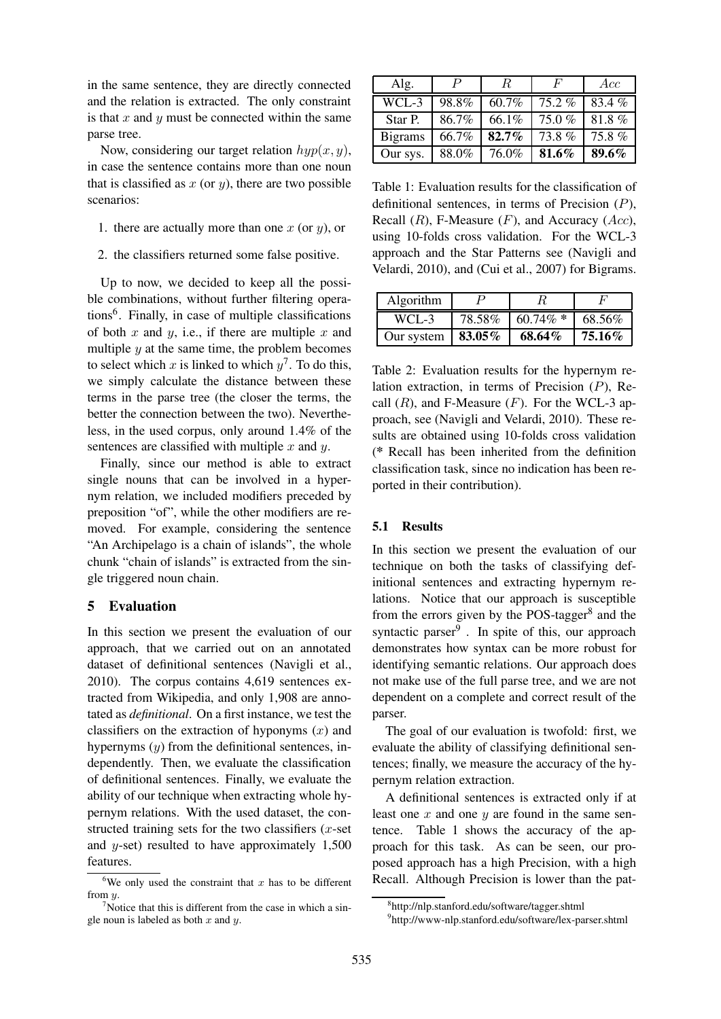in the same sentence, they are directly connected and the relation is extracted. The only constraint is that  $x$  and  $y$  must be connected within the same parse tree.

Now, considering our target relation  $hyp(x, y)$ , in case the sentence contains more than one noun that is classified as  $x$  (or  $y$ ), there are two possible scenarios:

- 1. there are actually more than one  $x$  (or  $y$ ), or
- 2. the classifiers returned some false positive.

Up to now, we decided to keep all the possible combinations, without further filtering operations<sup>6</sup> . Finally, in case of multiple classifications of both x and y, i.e., if there are multiple x and multiple  $y$  at the same time, the problem becomes to select which x is linked to which  $y^7$ . To do this, we simply calculate the distance between these terms in the parse tree (the closer the terms, the better the connection between the two). Nevertheless, in the used corpus, only around 1.4% of the sentences are classified with multiple  $x$  and  $y$ .

Finally, since our method is able to extract single nouns that can be involved in a hypernym relation, we included modifiers preceded by preposition "of", while the other modifiers are removed. For example, considering the sentence "An Archipelago is a chain of islands", the whole chunk "chain of islands" is extracted from the single triggered noun chain.

### **5 Evaluation**

In this section we present the evaluation of our approach, that we carried out on an annotated dataset of definitional sentences (Navigli et al., 2010). The corpus contains 4,619 sentences extracted from Wikipedia, and only 1,908 are annotated as *definitional*. On a first instance, we test the classifiers on the extraction of hyponyms  $(x)$  and hypernyms  $(y)$  from the definitional sentences, independently. Then, we evaluate the classification of definitional sentences. Finally, we evaluate the ability of our technique when extracting whole hypernym relations. With the used dataset, the constructed training sets for the two classifiers  $(x$ -set and  $y$ -set) resulted to have approximately 1,500 features.

| Alg.           | $\boldsymbol{P}$ | R.    | F     | Acc      |
|----------------|------------------|-------|-------|----------|
| WCL-3          | 98.8%            | 60.7% | 75.2% | 83.4%    |
| Star P.        | 86.7%            | 66.1% | 75.0% | $81.8\%$ |
| <b>Bigrams</b> | 66.7%            | 82.7% | 73.8% | 75.8%    |
| Our sys.       | 88.0%            | 76.0% | 81.6% | 89.6%    |

Table 1: Evaluation results for the classification of definitional sentences, in terms of Precision  $(P)$ , Recall  $(R)$ , F-Measure  $(F)$ , and Accuracy  $(Acc)$ , using 10-folds cross validation. For the WCL-3 approach and the Star Patterns see (Navigli and Velardi, 2010), and (Cui et al., 2007) for Bigrams.

| Algorithm            |        |             |        |
|----------------------|--------|-------------|--------|
| WCL-3                | 78.58% | $60.74\%$ * | 68.56% |
| Our system $83.05\%$ |        | 68.64%      | 75.16% |

Table 2: Evaluation results for the hypernym relation extraction, in terms of Precision (P), Recall  $(R)$ , and F-Measure  $(F)$ . For the WCL-3 approach, see (Navigli and Velardi, 2010). These results are obtained using 10-folds cross validation (**\*** Recall has been inherited from the definition classification task, since no indication has been reported in their contribution).

#### **5.1 Results**

In this section we present the evaluation of our technique on both the tasks of classifying definitional sentences and extracting hypernym relations. Notice that our approach is susceptible from the errors given by the POS-tagger<sup>8</sup> and the syntactic parser<sup>9</sup>. In spite of this, our approach demonstrates how syntax can be more robust for identifying semantic relations. Our approach does not make use of the full parse tree, and we are not dependent on a complete and correct result of the parser.

The goal of our evaluation is twofold: first, we evaluate the ability of classifying definitional sentences; finally, we measure the accuracy of the hypernym relation extraction.

A definitional sentences is extracted only if at least one  $x$  and one  $y$  are found in the same sentence. Table 1 shows the accuracy of the approach for this task. As can be seen, our proposed approach has a high Precision, with a high Recall. Although Precision is lower than the pat-

<sup>&</sup>lt;sup>6</sup>We only used the constraint that  $x$  has to be different from  $y$ .

 $\alpha$ <sup>7</sup>Notice that this is different from the case in which a single noun is labeled as both  $x$  and  $y$ .

<sup>8</sup> http://nlp.stanford.edu/software/tagger.shtml

<sup>9</sup> http://www-nlp.stanford.edu/software/lex-parser.shtml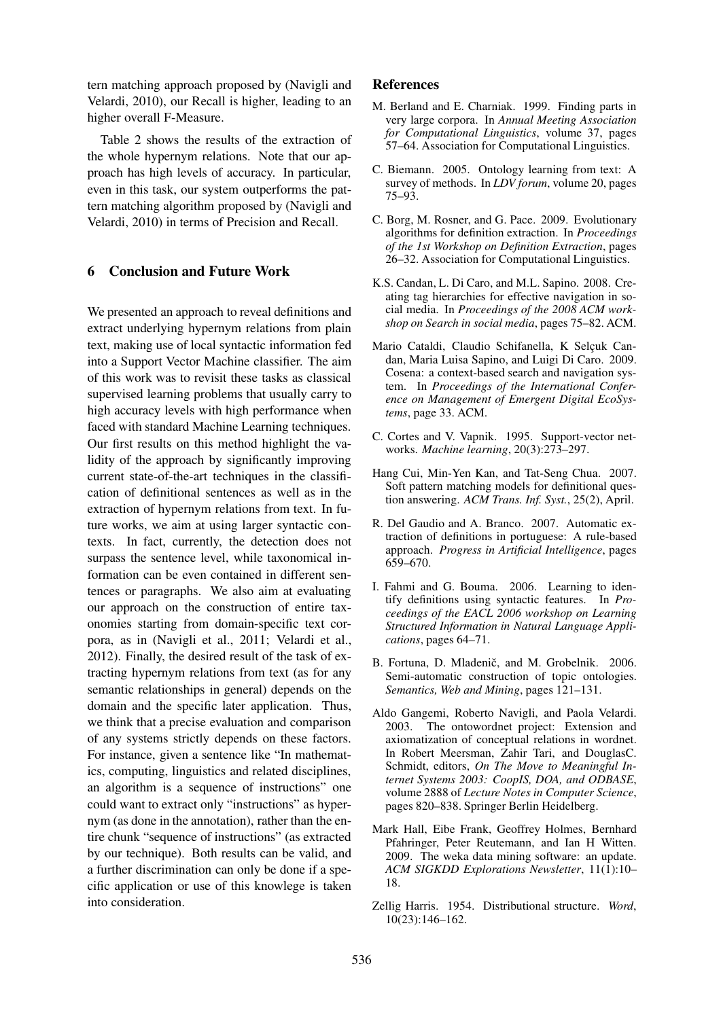tern matching approach proposed by (Navigli and Velardi, 2010), our Recall is higher, leading to an higher overall F-Measure.

Table 2 shows the results of the extraction of the whole hypernym relations. Note that our approach has high levels of accuracy. In particular, even in this task, our system outperforms the pattern matching algorithm proposed by (Navigli and Velardi, 2010) in terms of Precision and Recall.

### **6 Conclusion and Future Work**

We presented an approach to reveal definitions and extract underlying hypernym relations from plain text, making use of local syntactic information fed into a Support Vector Machine classifier. The aim of this work was to revisit these tasks as classical supervised learning problems that usually carry to high accuracy levels with high performance when faced with standard Machine Learning techniques. Our first results on this method highlight the validity of the approach by significantly improving current state-of-the-art techniques in the classification of definitional sentences as well as in the extraction of hypernym relations from text. In future works, we aim at using larger syntactic contexts. In fact, currently, the detection does not surpass the sentence level, while taxonomical information can be even contained in different sentences or paragraphs. We also aim at evaluating our approach on the construction of entire taxonomies starting from domain-specific text corpora, as in (Navigli et al., 2011; Velardi et al., 2012). Finally, the desired result of the task of extracting hypernym relations from text (as for any semantic relationships in general) depends on the domain and the specific later application. Thus, we think that a precise evaluation and comparison of any systems strictly depends on these factors. For instance, given a sentence like "In mathematics, computing, linguistics and related disciplines, an algorithm is a sequence of instructions" one could want to extract only "instructions" as hypernym (as done in the annotation), rather than the entire chunk "sequence of instructions" (as extracted by our technique). Both results can be valid, and a further discrimination can only be done if a specific application or use of this knowlege is taken into consideration.

### **References**

- M. Berland and E. Charniak. 1999. Finding parts in very large corpora. In *Annual Meeting Association for Computational Linguistics*, volume 37, pages 57–64. Association for Computational Linguistics.
- C. Biemann. 2005. Ontology learning from text: A survey of methods. In *LDV forum*, volume 20, pages 75–93.
- C. Borg, M. Rosner, and G. Pace. 2009. Evolutionary algorithms for definition extraction. In *Proceedings of the 1st Workshop on Definition Extraction*, pages 26–32. Association for Computational Linguistics.
- K.S. Candan, L. Di Caro, and M.L. Sapino. 2008. Creating tag hierarchies for effective navigation in social media. In *Proceedings of the 2008 ACM workshop on Search in social media*, pages 75–82. ACM.
- Mario Cataldi, Claudio Schifanella, K Selcuk Candan, Maria Luisa Sapino, and Luigi Di Caro. 2009. Cosena: a context-based search and navigation system. In *Proceedings of the International Conference on Management of Emergent Digital EcoSystems*, page 33. ACM.
- C. Cortes and V. Vapnik. 1995. Support-vector networks. *Machine learning*, 20(3):273–297.
- Hang Cui, Min-Yen Kan, and Tat-Seng Chua. 2007. Soft pattern matching models for definitional question answering. *ACM Trans. Inf. Syst.*, 25(2), April.
- R. Del Gaudio and A. Branco. 2007. Automatic extraction of definitions in portuguese: A rule-based approach. *Progress in Artificial Intelligence*, pages 659–670.
- I. Fahmi and G. Bouma. 2006. Learning to identify definitions using syntactic features. In *Proceedings of the EACL 2006 workshop on Learning Structured Information in Natural Language Applications*, pages 64–71.
- B. Fortuna, D. Mladenič, and M. Grobelnik. 2006. Semi-automatic construction of topic ontologies. *Semantics, Web and Mining*, pages 121–131.
- Aldo Gangemi, Roberto Navigli, and Paola Velardi. 2003. The ontowordnet project: Extension and axiomatization of conceptual relations in wordnet. In Robert Meersman, Zahir Tari, and DouglasC. Schmidt, editors, *On The Move to Meaningful Internet Systems 2003: CoopIS, DOA, and ODBASE*, volume 2888 of *Lecture Notes in Computer Science*, pages 820–838. Springer Berlin Heidelberg.
- Mark Hall, Eibe Frank, Geoffrey Holmes, Bernhard Pfahringer, Peter Reutemann, and Ian H Witten. 2009. The weka data mining software: an update. *ACM SIGKDD Explorations Newsletter*, 11(1):10– 18.
- Zellig Harris. 1954. Distributional structure. *Word*, 10(23):146–162.